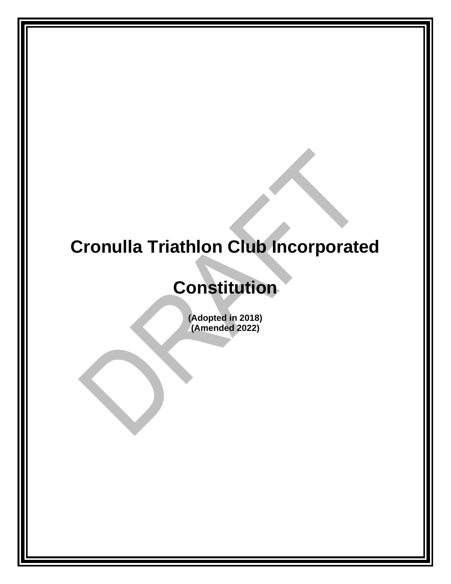# **Cronulla Triathlon Club Incorporated**

# **Constitution**

**(Adopted in 2018) (Amended 2022)**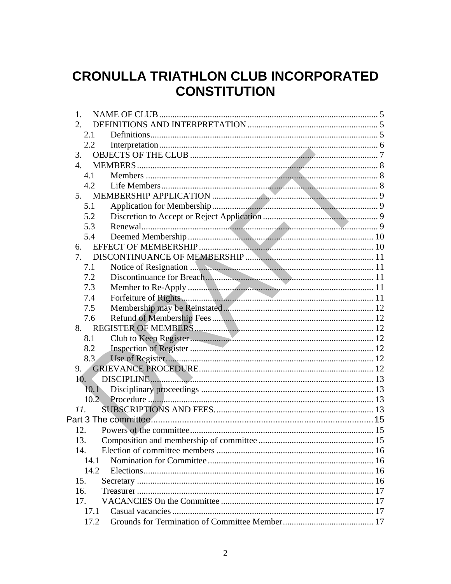# **CRONULLA TRIATHLON CLUB INCORPORATED CONSTITUTION**

| 1.               |  |
|------------------|--|
| 2.               |  |
| 2.1              |  |
| 2.2              |  |
| 3.               |  |
| $\overline{4}$ . |  |
| 4.1              |  |
| 4.2              |  |
| 5.               |  |
| 5.1              |  |
| 5.2              |  |
| 5.3              |  |
| 5.4              |  |
| 6.               |  |
| 7.               |  |
| 7.1              |  |
| 7.2              |  |
| 7.3              |  |
| 7.4              |  |
| 7.5              |  |
| 7.6              |  |
| 8.               |  |
| 8.1              |  |
| 8.2              |  |
| 8.3              |  |
| 9.               |  |
| 10.              |  |
|                  |  |
|                  |  |
| 11.              |  |
|                  |  |
| 12.              |  |
| 13.              |  |
| 14.              |  |
| 14.1             |  |
| 14.2             |  |
| 15.              |  |
| 16.              |  |
| 17.              |  |
| 17.1             |  |
| 17.2             |  |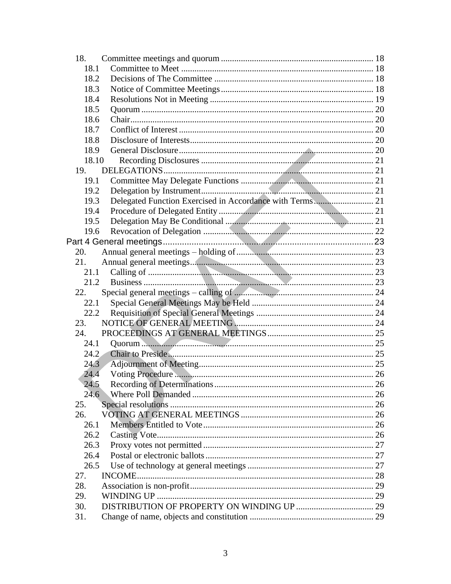| 18.            |      |
|----------------|------|
| 18.1           |      |
| 18.2           |      |
| 18.3           |      |
| 18.4           |      |
| 18.5           |      |
| 18.6           |      |
| 18.7           |      |
| 18.8           |      |
| 18.9           |      |
| 18.10          |      |
| 19.            |      |
| 19.1           |      |
| 19.2           |      |
| 19.3           |      |
| 19.4           |      |
| 19.5           |      |
| 19.6           |      |
|                |      |
| 20.            |      |
| 21.            |      |
| 21.1           |      |
| 21.2           |      |
| 22.            |      |
|                |      |
| 22.1           |      |
| 22.2           |      |
| 23.            |      |
| 24.            |      |
| 24.1           |      |
| $24.2^{\circ}$ |      |
| 24.3           |      |
| 24.4           |      |
| 24.5           | . 26 |
| 24.6           |      |
| 25.            |      |
| 26.            |      |
| 26.1           |      |
| 26.2           |      |
| 26.3           |      |
| 26.4           |      |
| 26.5           |      |
| 27.            |      |
| 28.            |      |
| 29.            |      |
| 30.            |      |
| 31.            |      |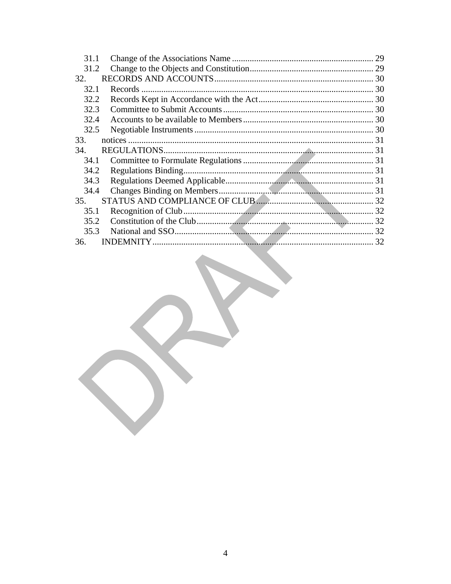| 31.1 | 29 |
|------|----|
| 31.2 |    |
| 32.  |    |
| 32.1 |    |
| 32.2 |    |
| 32.3 |    |
| 32.4 |    |
| 32.5 |    |
| 33.  |    |
| 34.  |    |
| 34.1 |    |
| 34.2 |    |
| 34.3 |    |
| 34.4 |    |
| 35.  |    |
| 35.1 |    |
| 35.2 |    |
| 35.3 |    |
| 36.  | 32 |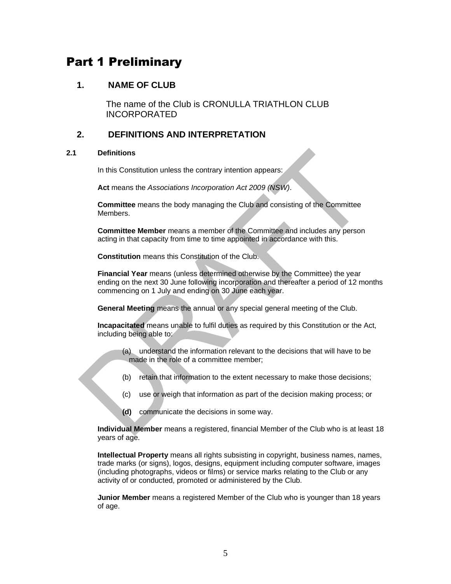# Part 1 Preliminary

# <span id="page-4-0"></span>**1. NAME OF CLUB**

The name of the Club is CRONULLA TRIATHLON CLUB INCORPORATED

# <span id="page-4-1"></span>**2. DEFINITIONS AND INTERPRETATION**

#### <span id="page-4-2"></span>**2.1 Definitions**

In this Constitution unless the contrary intention appears:

**Act** means the *Associations Incorporation Act 2009 (NSW)*.

**Committee** means the body managing the Club and consisting of the Committee **Members** 

**Committee Member** means a member of the Committee and includes any person acting in that capacity from time to time appointed in accordance with this.

**Constitution** means this Constitution of the Club.

**Financial Year** means (unless determined otherwise by the Committee) the year ending on the next 30 June following incorporation and thereafter a period of 12 months commencing on 1 July and ending on 30 June each year.

**General Meeting** means the annual or any special general meeting of the Club.

**Incapacitated** means unable to fulfil duties as required by this Constitution or the Act, including being able to:

- (a) understand the information relevant to the decisions that will have to be made in the role of a committee member;
- (b) retain that information to the extent necessary to make those decisions;
- (c) use or weigh that information as part of the decision making process; or
- **(d)** communicate the decisions in some way.

**Individual Member** means a registered, financial Member of the Club who is at least 18 years of age.

**Intellectual Property** means all rights subsisting in copyright, business names, names, trade marks (or signs), logos, designs, equipment including computer software, images (including photographs, videos or films) or service marks relating to the Club or any activity of or conducted, promoted or administered by the Club.

**Junior Member** means a registered Member of the Club who is younger than 18 years of age.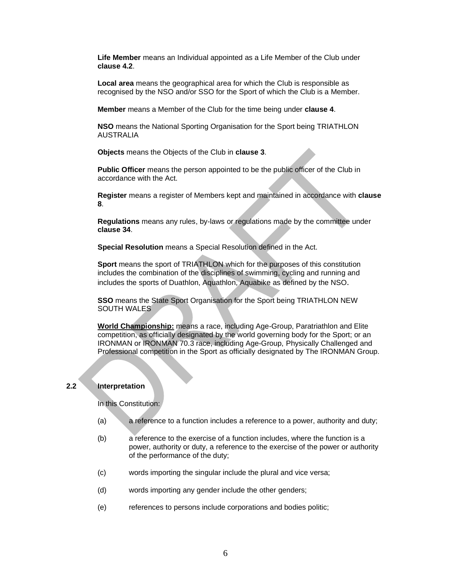**Life Member** means an Individual appointed as a Life Member of the Club under **clause 4.2**.

**Local area** means the geographical area for which the Club is responsible as recognised by the NSO and/or SSO for the Sport of which the Club is a Member.

**Member** means a Member of the Club for the time being under **clause 4**.

**NSO** means the National Sporting Organisation for the Sport being TRIATHLON AUSTRALIA

**Objects** means the Objects of the Club in **clause 3**.

**Public Officer** means the person appointed to be the public officer of the Club in accordance with the Act.

**Register** means a register of Members kept and maintained in accordance with **clause 8**.

**Regulations** means any rules, by-laws or regulations made by the committee under **clause 34**.

**Special Resolution** means a Special Resolution defined in the Act.

**Sport** means the sport of TRIATHLON which for the purposes of this constitution includes the combination of the disciplines of swimming, cycling and running and includes the sports of Duathlon, Aquathlon, Aquabike as defined by the NSO.

**SSO** means the State Sport Organisation for the Sport being TRIATHLON NEW SOUTH WALES

**World Championship:** means a race, including Age-Group, Paratriathlon and Elite competition, as officially designated by the world governing body for the Sport; or an IRONMAN or IRONMAN 70.3 race, including Age-Group, Physically Challenged and Professional competition in the Sport as officially designated by The IRONMAN Group.

#### <span id="page-5-0"></span>**2.2 Interpretation**

In this Constitution:

- (a) a reference to a function includes a reference to a power, authority and duty;
- (b) a reference to the exercise of a function includes, where the function is a power, authority or duty, a reference to the exercise of the power or authority of the performance of the duty;
- (c) words importing the singular include the plural and vice versa;
- (d) words importing any gender include the other genders;
- (e) references to persons include corporations and bodies politic;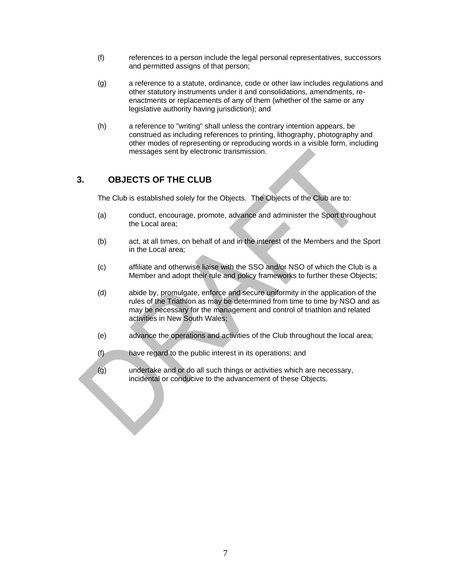- (f) references to a person include the legal personal representatives, successors and permitted assigns of that person;
- (g) a reference to a statute, ordinance, code or other law includes regulations and other statutory instruments under it and consolidations, amendments, reenactments or replacements of any of them (whether of the same or any legislative authority having jurisdiction); and
- (h) a reference to "writing" shall unless the contrary intention appears, be construed as including references to printing, lithography, photography and other modes of representing or reproducing words in a visible form, including messages sent by electronic transmission.

# <span id="page-6-0"></span>**3. OBJECTS OF THE CLUB**

The Club is established solely for the Objects. The Objects of the Club are to:

- (a) conduct, encourage, promote, advance and administer the Sport throughout the Local area;
- (b) act, at all times, on behalf of and in the interest of the Members and the Sport in the Local area;
- (c) affiliate and otherwise liaise with the SSO and/or NSO of which the Club is a Member and adopt their rule and policy frameworks to further these Objects;
- (d) abide by, promulgate, enforce and secure uniformity in the application of the rules of the Triathlon as may be determined from time to time by NSO and as may be necessary for the management and control of triathlon and related activities in New South Wales;
- (e) advance the operations and activities of the Club throughout the local area;
- (f) have regard to the public interest in its operations; and
- (g) undertake and or do all such things or activities which are necessary, incidental or conducive to the advancement of these Objects.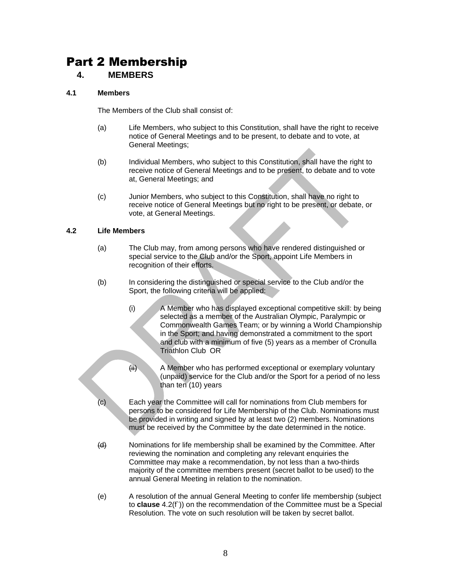# Part 2 Membership

## <span id="page-7-0"></span>**4. MEMBERS**

#### <span id="page-7-1"></span>**4.1 Members**

The Members of the Club shall consist of:

- (a) Life Members, who subject to this Constitution, shall have the right to receive notice of General Meetings and to be present, to debate and to vote, at General Meetings;
- (b) Individual Members, who subject to this Constitution, shall have the right to receive notice of General Meetings and to be present, to debate and to vote at, General Meetings; and
- (c) Junior Members, who subject to this Constitution, shall have no right to receive notice of General Meetings but no right to be present, or debate, or vote, at General Meetings.

#### <span id="page-7-2"></span>**4.2 Life Members**

- (a) The Club may, from among persons who have rendered distinguished or special service to the Club and/or the Sport, appoint Life Members in recognition of their efforts.
- (b) In considering the distinguished or special service to the Club and/or the Sport, the following criteria will be applied:
	- (i) A Member who has displayed exceptional competitive skill: by being selected as a member of the Australian Olympic, Paralympic or Commonwealth Games Team; or by winning a World Championship in the Sport; and having demonstrated a commitment to the sport and club with a minimum of five (5) years as a member of Cronulla Triathlon Club OR
	- (ii) A Member who has performed exceptional or exemplary voluntary (unpaid) service for the Club and/or the Sport for a period of no less than ten (10) years
- (c) Each year the Committee will call for nominations from Club members for persons to be considered for Life Membership of the Club. Nominations must be provided in writing and signed by at least two (2) members. Nominations must be received by the Committee by the date determined in the notice.
- (d) Nominations for life membership shall be examined by the Committee. After reviewing the nomination and completing any relevant enquiries the Committee may make a recommendation, by not less than a two-thirds majority of the committee members present (secret ballot to be used) to the annual General Meeting in relation to the nomination.
- (e) A resolution of the annual General Meeting to confer life membership (subject to **clause** [4.2\(](#page-7-2)f`)) on the recommendation of the Committee must be a Special Resolution. The vote on such resolution will be taken by secret ballot.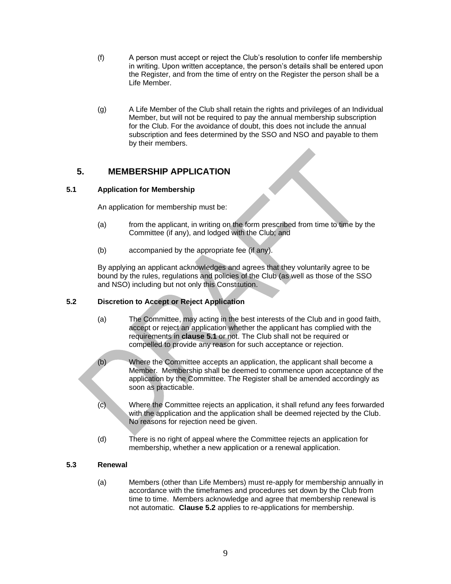- (f) A person must accept or reject the Club's resolution to confer life membership in writing. Upon written acceptance, the person's details shall be entered upon the Register, and from the time of entry on the Register the person shall be a Life Member.
- (g) A Life Member of the Club shall retain the rights and privileges of an Individual Member, but will not be required to pay the annual membership subscription for the Club. For the avoidance of doubt, this does not include the annual subscription and fees determined by the SSO and NSO and payable to them by their members.

# <span id="page-8-0"></span>**5. MEMBERSHIP APPLICATION**

#### <span id="page-8-1"></span>**5.1 Application for Membership**

An application for membership must be:

- (a) from the applicant, in writing on the form prescribed from time to time by the Committee (if any), and lodged with the Club; and
- (b) accompanied by the appropriate fee (if any).

By applying an applicant acknowledges and agrees that they voluntarily agree to be bound by the rules, regulations and policies of the Club (as well as those of the SSO and NSO) including but not only this Constitution.

## <span id="page-8-2"></span>**5.2 Discretion to Accept or Reject Application**

- (a) The Committee, may acting in the best interests of the Club and in good faith, accept or reject an application whether the applicant has complied with the requirements in **clause [5.1](#page-8-1)** or not. The Club shall not be required or compelled to provide any reason for such acceptance or rejection.
- (b) Where the Committee accepts an application, the applicant shall become a Member. Membership shall be deemed to commence upon acceptance of the application by the Committee. The Register shall be amended accordingly as soon as practicable.
- (c) Where the Committee rejects an application, it shall refund any fees forwarded with the application and the application shall be deemed rejected by the Club. No reasons for rejection need be given.
- (d) There is no right of appeal where the Committee rejects an application for membership, whether a new application or a renewal application.

#### <span id="page-8-3"></span>**5.3 Renewal**

(a) Members (other than Life Members) must re-apply for membership annually in accordance with the timeframes and procedures set down by the Club from time to time. Members acknowledge and agree that membership renewal is not automatic. **Clause 5.2** applies to re-applications for membership.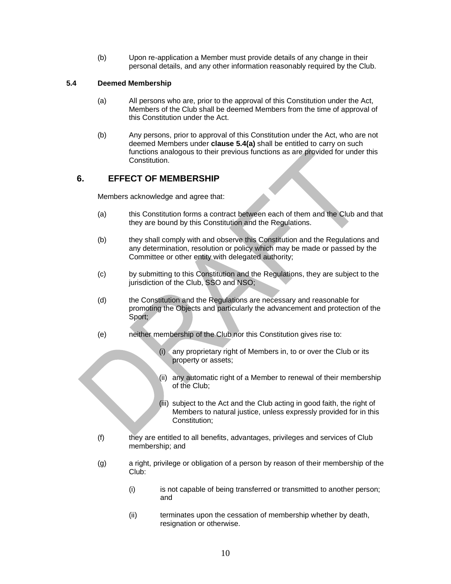(b) Upon re-application a Member must provide details of any change in their personal details, and any other information reasonably required by the Club.

#### <span id="page-9-2"></span><span id="page-9-0"></span>**5.4 Deemed Membership**

- (a) All persons who are, prior to the approval of this Constitution under the Act, Members of the Club shall be deemed Members from the time of approval of this Constitution under the Act.
- (b) Any persons, prior to approval of this Constitution under the Act, who are not deemed Members under **clause [5.4](#page-9-0)[\(a\)](#page-9-2)** shall be entitled to carry on such functions analogous to their previous functions as are provided for under this Constitution.

# <span id="page-9-1"></span>**6. EFFECT OF MEMBERSHIP**

Members acknowledge and agree that:

- (a) this Constitution forms a contract between each of them and the Club and that they are bound by this Constitution and the Regulations.
- (b) they shall comply with and observe this Constitution and the Regulations and any determination, resolution or policy which may be made or passed by the Committee or other entity with delegated authority;
- (c) by submitting to this Constitution and the Regulations, they are subject to the jurisdiction of the Club, SSO and NSO;
- (d) the Constitution and the Regulations are necessary and reasonable for promoting the Objects and particularly the advancement and protection of the Sport;
- (e) neither membership of the Club nor this Constitution gives rise to:
	- (i) any proprietary right of Members in, to or over the Club or its property or assets;
	- (ii) any automatic right of a Member to renewal of their membership of the Club;
	- (iii) subject to the Act and the Club acting in good faith, the right of Members to natural justice, unless expressly provided for in this Constitution;
- (f) they are entitled to all benefits, advantages, privileges and services of Club membership; and
- (g) a right, privilege or obligation of a person by reason of their membership of the Club:
	- (i) is not capable of being transferred or transmitted to another person; and
	- (ii) terminates upon the cessation of membership whether by death, resignation or otherwise.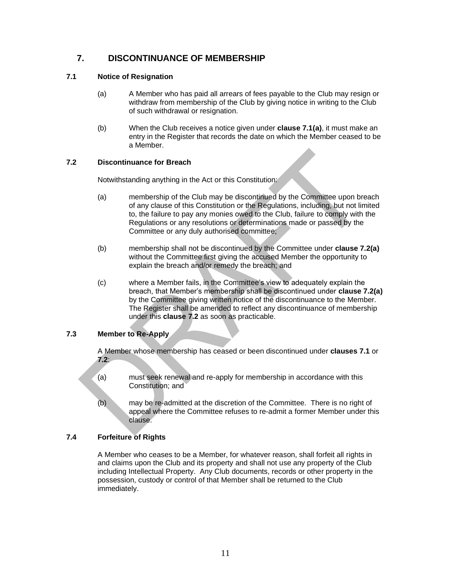# <span id="page-10-0"></span>**7. DISCONTINUANCE OF MEMBERSHIP**

#### <span id="page-10-5"></span><span id="page-10-1"></span>**7.1 Notice of Resignation**

- (a) A Member who has paid all arrears of fees payable to the Club may resign or withdraw from membership of the Club by giving notice in writing to the Club of such withdrawal or resignation.
- (b) When the Club receives a notice given under **clause [7.1](#page-10-1)[\(a\)](#page-10-5)**, it must make an entry in the Register that records the date on which the Member ceased to be a Member.

#### <span id="page-10-2"></span>**7.2 Discontinuance for Breach**

Notwithstanding anything in the Act or this Constitution:

- <span id="page-10-6"></span>(a) membership of the Club may be discontinued by the Committee upon breach of any clause of this Constitution or the Regulations, including, but not limited to, the failure to pay any monies owed to the Club, failure to comply with the Regulations or any resolutions or determinations made or passed by the Committee or any duly authorised committee;
- (b) membership shall not be discontinued by the Committee under **clause [7.2](#page-10-2)[\(a\)](#page-10-6)** without the Committee first giving the accused Member the opportunity to explain the breach and/or remedy the breach; and
- (c) where a Member fails, in the Committee's view to adequately explain the breach, that Member's membership shall be discontinued under **clause [7.2](#page-10-2)[\(a\)](#page-10-6)** by the Committee giving written notice of the discontinuance to the Member. The Register shall be amended to reflect any discontinuance of membership under this **clause 7.2** as soon as practicable.

#### <span id="page-10-3"></span>**7.3 Member to Re-Apply**

A Member whose membership has ceased or been discontinued under **clauses [7.1](#page-10-1)** or **[7.2](#page-10-2)**:

- (a) must seek renewal and re-apply for membership in accordance with this Constitution; and
- (b) may be re-admitted at the discretion of the Committee. There is no right of appeal where the Committee refuses to re-admit a former Member under this clause.

## <span id="page-10-4"></span>**7.4 Forfeiture of Rights**

A Member who ceases to be a Member, for whatever reason, shall forfeit all rights in and claims upon the Club and its property and shall not use any property of the Club including Intellectual Property. Any Club documents, records or other property in the possession, custody or control of that Member shall be returned to the Club immediately.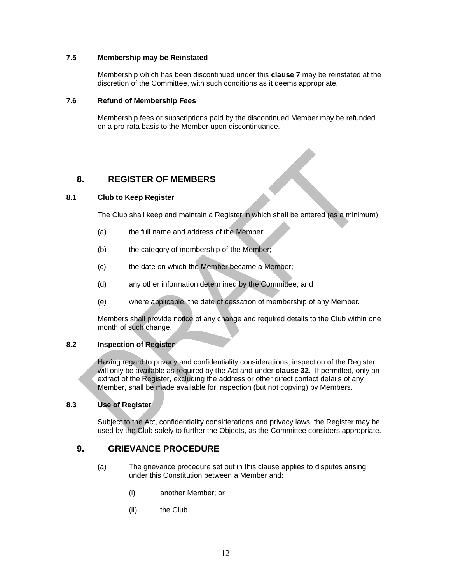#### <span id="page-11-0"></span>**7.5 Membership may be Reinstated**

Membership which has been discontinued under this **clause 7** may be reinstated at the discretion of the Committee, with such conditions as it deems appropriate.

#### <span id="page-11-1"></span>**7.6 Refund of Membership Fees**

Membership fees or subscriptions paid by the discontinued Member may be refunded on a pro-rata basis to the Member upon discontinuance.

# <span id="page-11-2"></span>**8. REGISTER OF MEMBERS**

#### <span id="page-11-3"></span>**8.1 Club to Keep Register**

The Club shall keep and maintain a Register in which shall be entered (as a minimum):

- (a) the full name and address of the Member;
- (b) the category of membership of the Member;
- (c) the date on which the Member became a Member;
- (d) any other information determined by the Committee; and
- (e) where applicable, the date of cessation of membership of any Member.

Members shall provide notice of any change and required details to the Club within one month of such change.

#### <span id="page-11-4"></span>**8.2 Inspection of Register**

Having regard to privacy and confidentiality considerations, inspection of the Register will only be available as required by the Act and under **clause 32**. If permitted, only an extract of the Register, excluding the address or other direct contact details of any Member, shall be made available for inspection (but not copying) by Members.

#### <span id="page-11-5"></span>**8.3 Use of Register**

Subject to the Act, confidentiality considerations and privacy laws, the Register may be used by the Club solely to further the Objects, as the Committee considers appropriate.

## <span id="page-11-6"></span>**9. GRIEVANCE PROCEDURE**

- (a) The grievance procedure set out in this clause applies to disputes arising under this Constitution between a Member and:
	- (i) another Member; or
	- (ii) the Club.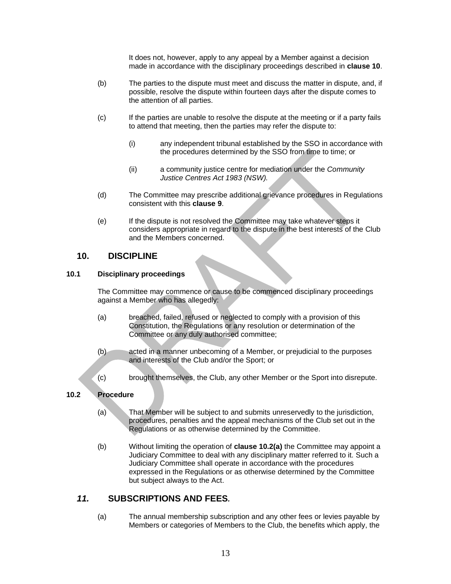It does not, however, apply to any appeal by a Member against a decision made in accordance with the disciplinary proceedings described in **clause 10**.

- (b) The parties to the dispute must meet and discuss the matter in dispute, and, if possible, resolve the dispute within fourteen days after the dispute comes to the attention of all parties.
- (c) If the parties are unable to resolve the dispute at the meeting or if a party fails to attend that meeting, then the parties may refer the dispute to:
	- (i) any independent tribunal established by the SSO in accordance with the procedures determined by the SSO from time to time; or
	- (ii) a community justice centre for mediation under the *Community Justice Centres Act 1983 (NSW).*
- (d) The Committee may prescribe additional grievance procedures in Regulations consistent with this **clause 9**.
- (e) If the dispute is not resolved the Committee may take whatever steps it considers appropriate in regard to the dispute in the best interests of the Club and the Members concerned.

## <span id="page-12-0"></span>**10. DISCIPLINE**

#### <span id="page-12-1"></span>**10.1 Disciplinary proceedings**

The Committee may commence or cause to be commenced disciplinary proceedings against a Member who has allegedly:

- (a) breached, failed, refused or neglected to comply with a provision of this Constitution, the Regulations or any resolution or determination of the Committee or any duly authorised committee;
- (b) acted in a manner unbecoming of a Member, or prejudicial to the purposes and interests of the Club and/or the Sport; or
- (c) brought themselves, the Club, any other Member or the Sport into disrepute.

#### <span id="page-12-2"></span>**10.2 Procedure**

- (a) That Member will be subject to and submits unreservedly to the jurisdiction, procedures, penalties and the appeal mechanisms of the Club set out in the Regulations or as otherwise determined by the Committee.
- (b) Without limiting the operation of **clause 10.2(a)** the Committee may appoint a Judiciary Committee to deal with any disciplinary matter referred to it. Such a Judiciary Committee shall operate in accordance with the procedures expressed in the Regulations or as otherwise determined by the Committee but subject always to the Act.

## <span id="page-12-3"></span>*11.* **SUBSCRIPTIONS AND FEES***.*

(a) The annual membership subscription and any other fees or levies payable by Members or categories of Members to the Club, the benefits which apply, the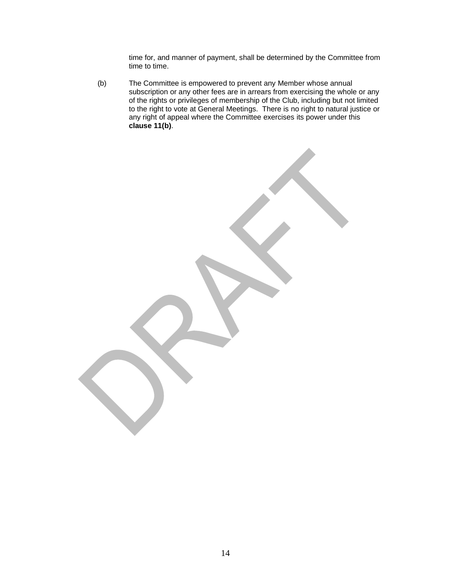time for, and manner of payment, shall be determined by the Committee from time to time.

(b) The Committee is empowered to prevent any Member whose annual subscription or any other fees are in arrears from exercising the whole or any of the rights or privileges of membership of the Club, including but not limited to the right to vote at General Meetings. There is no right to natural justice or any right of appeal where the Committee exercises its power under this **clause 11(b)**.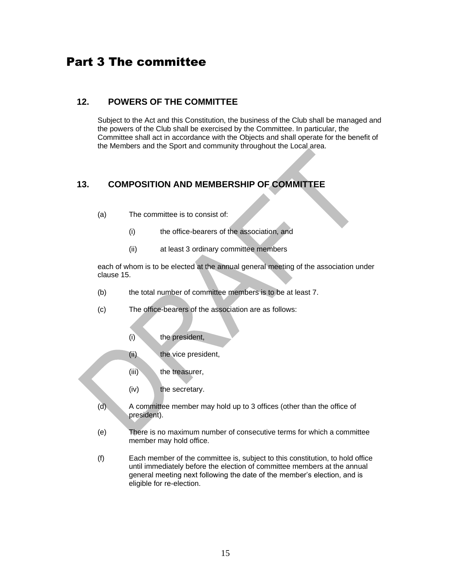# <span id="page-14-0"></span>Part 3 The committee

# <span id="page-14-1"></span>**12. POWERS OF THE COMMITTEE**

Subject to the Act and this Constitution, the business of the Club shall be managed and the powers of the Club shall be exercised by the Committee. In particular, the Committee shall act in accordance with the Objects and shall operate for the benefit of the Members and the Sport and community throughout the Local area.

# <span id="page-14-2"></span>**13. COMPOSITION AND MEMBERSHIP OF COMMITTEE**

- (a) The committee is to consist of:
	- (i) the office-bearers of the association, and
	- (ii) at least 3 ordinary committee members

each of whom is to be elected at the annual general meeting of the association under clause 15.

- (b) the total number of committee members is to be at least 7.
- (c) The office-bearers of the association are as follows:
	- (i) the president,
	- (ii) the vice president,
	- (iii) the treasurer,
	- (iv) the secretary.
- (d) A committee member may hold up to 3 offices (other than the office of president).
- (e) There is no maximum number of consecutive terms for which a committee member may hold office.
- (f) Each member of the committee is, subject to this constitution, to hold office until immediately before the election of committee members at the annual general meeting next following the date of the member's election, and is eligible for re-election.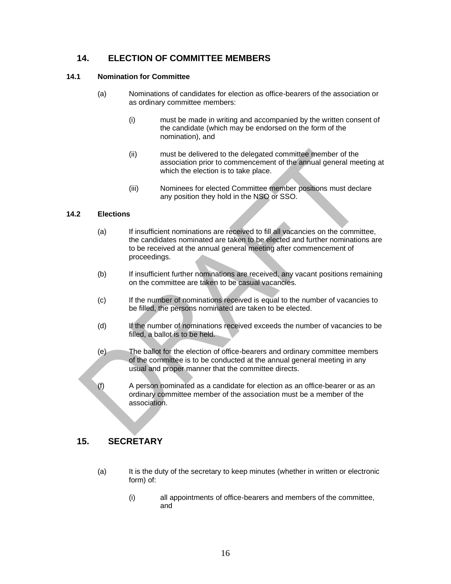# <span id="page-15-0"></span>**14. ELECTION OF COMMITTEE MEMBERS**

#### <span id="page-15-1"></span>**14.1 Nomination for Committee**

- (a) Nominations of candidates for election as office-bearers of the association or as ordinary committee members:
	- (i) must be made in writing and accompanied by the written consent of the candidate (which may be endorsed on the form of the nomination), and
	- (ii) must be delivered to the delegated committee member of the association prior to commencement of the annual general meeting at which the election is to take place.
	- (iii) Nominees for elected Committee member positions must declare any position they hold in the NSO or SSO.

#### <span id="page-15-2"></span>**14.2 Elections**

- (a) If insufficient nominations are received to fill all vacancies on the committee, the candidates nominated are taken to be elected and further nominations are to be received at the annual general meeting after commencement of proceedings.
- (b) If insufficient further nominations are received, any vacant positions remaining on the committee are taken to be casual vacancies.
- (c) If the number of nominations received is equal to the number of vacancies to be filled, the persons nominated are taken to be elected.
- (d) If the number of nominations received exceeds the number of vacancies to be filled, a ballot is to be held.
- (e) The ballot for the election of office-bearers and ordinary committee members of the committee is to be conducted at the annual general meeting in any usual and proper manner that the committee directs.
- (f) A person nominated as a candidate for election as an office-bearer or as an ordinary committee member of the association must be a member of the association.

# <span id="page-15-3"></span>**15. SECRETARY**

- (a) It is the duty of the secretary to keep minutes (whether in written or electronic form) of:
	- (i) all appointments of office-bearers and members of the committee, and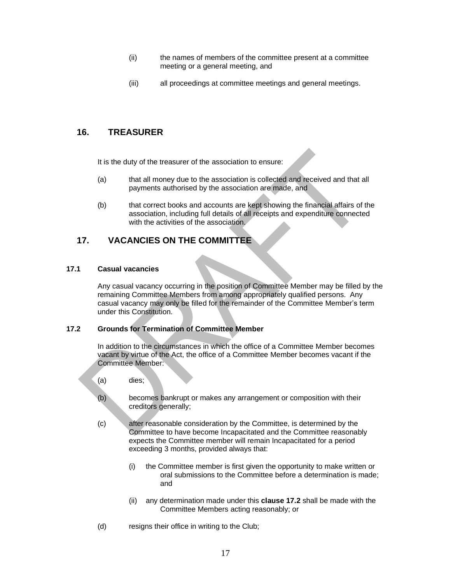- (ii) the names of members of the committee present at a committee meeting or a general meeting, and
- (iii) all proceedings at committee meetings and general meetings.

# <span id="page-16-0"></span>**16. TREASURER**

It is the duty of the treasurer of the association to ensure:

- (a) that all money due to the association is collected and received and that all payments authorised by the association are made, and
- (b) that correct books and accounts are kept showing the financial affairs of the association, including full details of all receipts and expenditure connected with the activities of the association.

# <span id="page-16-1"></span>**17. VACANCIES ON THE COMMITTEE**

#### <span id="page-16-2"></span>**17.1 Casual vacancies**

Any casual vacancy occurring in the position of Committee Member may be filled by the remaining Committee Members from among appropriately qualified persons. Any casual vacancy may only be filled for the remainder of the Committee Member's term under this Constitution.

#### <span id="page-16-3"></span>**17.2 Grounds for Termination of Committee Member**

In addition to the circumstances in which the office of a Committee Member becomes vacant by virtue of the Act, the office of a Committee Member becomes vacant if the Committee Member:

- (a) dies;
- (b) becomes bankrupt or makes any arrangement or composition with their creditors generally;
- (c) after reasonable consideration by the Committee, is determined by the Committee to have become Incapacitated and the Committee reasonably expects the Committee member will remain Incapacitated for a period exceeding 3 months, provided always that:
	- (i) the Committee member is first given the opportunity to make written or oral submissions to the Committee before a determination is made; and
	- (ii) any determination made under this **clause 17.2** shall be made with the Committee Members acting reasonably; or
- (d) resigns their office in writing to the Club;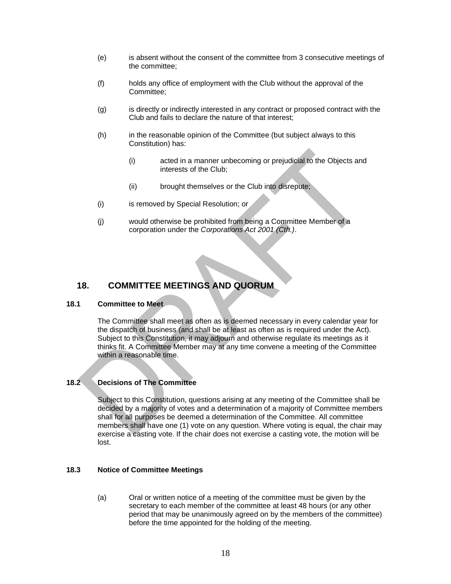- (e) is absent without the consent of the committee from 3 consecutive meetings of the committee;
- (f) holds any office of employment with the Club without the approval of the Committee;
- (g) is directly or indirectly interested in any contract or proposed contract with the Club and fails to declare the nature of that interest;
- (h) in the reasonable opinion of the Committee (but subject always to this Constitution) has:
	- (i) acted in a manner unbecoming or prejudicial to the Objects and interests of the Club;
	- (ii) brought themselves or the Club into disrepute;
- (i) is removed by Special Resolution; or
- (j) would otherwise be prohibited from being a Committee Member of a corporation under the *Corporations Act 2001 (Cth.)*.

# <span id="page-17-0"></span>**18. COMMITTEE MEETINGS AND QUORUM**

#### <span id="page-17-1"></span>**18.1 Committee to Meet**

The Committee shall meet as often as is deemed necessary in every calendar year for the dispatch of business (and shall be at least as often as is required under the Act). Subject to this Constitution, it may adjourn and otherwise regulate its meetings as it thinks fit. A Committee Member may at any time convene a meeting of the Committee within a reasonable time.

#### <span id="page-17-2"></span>**18.2 Decisions of The Committee**

Subject to this Constitution, questions arising at any meeting of the Committee shall be decided by a majority of votes and a determination of a majority of Committee members shall for all purposes be deemed a determination of the Committee. All committee members shall have one (1) vote on any question. Where voting is equal, the chair may exercise a casting vote. If the chair does not exercise a casting vote, the motion will be lost.

#### <span id="page-17-3"></span>**18.3 Notice of Committee Meetings**

(a) Oral or written notice of a meeting of the committee must be given by the secretary to each member of the committee at least 48 hours (or any other period that may be unanimously agreed on by the members of the committee) before the time appointed for the holding of the meeting.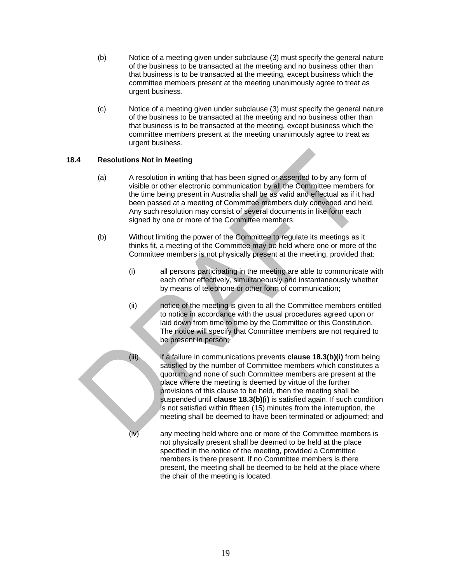- (b) Notice of a meeting given under subclause (3) must specify the general nature of the business to be transacted at the meeting and no business other than that business is to be transacted at the meeting, except business which the committee members present at the meeting unanimously agree to treat as urgent business.
- (c) Notice of a meeting given under subclause (3) must specify the general nature of the business to be transacted at the meeting and no business other than that business is to be transacted at the meeting, except business which the committee members present at the meeting unanimously agree to treat as urgent business.

#### <span id="page-18-0"></span>**18.4 Resolutions Not in Meeting**

- (a) A resolution in writing that has been signed or assented to by any form of visible or other electronic communication by all the Committee members for the time being present in Australia shall be as valid and effectual as if it had been passed at a meeting of Committee members duly convened and held. Any such resolution may consist of several documents in like form each signed by one or more of the Committee members.
- <span id="page-18-2"></span><span id="page-18-1"></span>(b) Without limiting the power of the Committee to regulate its meetings as it thinks fit, a meeting of the Committee may be held where one or more of the Committee members is not physically present at the meeting, provided that:
	- (i) all persons participating in the meeting are able to communicate with each other effectively, simultaneously and instantaneously whether by means of telephone or other form of communication;
	- (ii) notice of the meeting is given to all the Committee members entitled to notice in accordance with the usual procedures agreed upon or laid down from time to time by the Committee or this Constitution. The notice will specify that Committee members are not required to be present in person;
	- (iii) if a failure in communications prevents **clause 18.[3\(b\)](#page-18-1)[\(i\)](#page-18-2)** from being satisfied by the number of Committee members which constitutes a quorum, and none of such Committee members are present at the place where the meeting is deemed by virtue of the further provisions of this clause to be held, then the meeting shall be suspended until **clause 18.[3\(b\)](#page-18-1)[\(i\)](#page-18-2)** is satisfied again. If such condition is not satisfied within fifteen (15) minutes from the interruption, the meeting shall be deemed to have been terminated or adjourned; and (iv) any meeting held where one or more of the Committee members is
		- not physically present shall be deemed to be held at the place specified in the notice of the meeting, provided a Committee members is there present. If no Committee members is there present, the meeting shall be deemed to be held at the place where the chair of the meeting is located.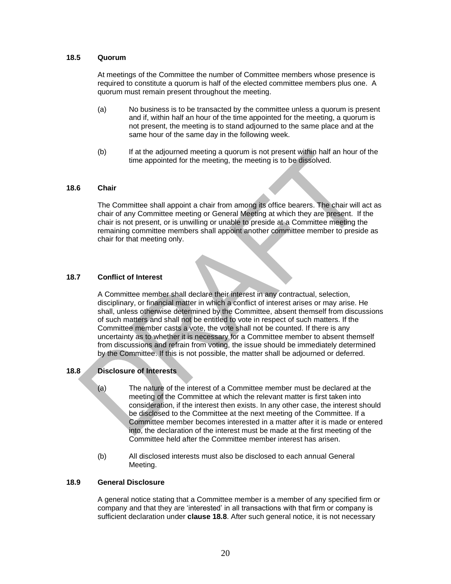#### <span id="page-19-0"></span>**18.5 Quorum**

At meetings of the Committee the number of Committee members whose presence is required to constitute a quorum is half of the elected committee members plus one. A quorum must remain present throughout the meeting.

- (a) No business is to be transacted by the committee unless a quorum is present and if, within half an hour of the time appointed for the meeting, a quorum is not present, the meeting is to stand adjourned to the same place and at the same hour of the same day in the following week.
- (b) If at the adjourned meeting a quorum is not present within half an hour of the time appointed for the meeting, the meeting is to be dissolved.

#### <span id="page-19-1"></span>**18.6 Chair**

The Committee shall appoint a chair from among its office bearers. The chair will act as chair of any Committee meeting or General Meeting at which they are present. If the chair is not present, or is unwilling or unable to preside at a Committee meeting the remaining committee members shall appoint another committee member to preside as chair for that meeting only.

#### <span id="page-19-2"></span>**18.7 Conflict of Interest**

A Committee member shall declare their interest in any contractual, selection, disciplinary, or financial matter in which a conflict of interest arises or may arise. He shall, unless otherwise determined by the Committee, absent themself from discussions of such matters and shall not be entitled to vote in respect of such matters. If the Committee member casts a vote, the vote shall not be counted. If there is any uncertainty as to whether it is necessary for a Committee member to absent themself from discussions and refrain from voting, the issue should be immediately determined by the Committee. If this is not possible, the matter shall be adjourned or deferred.

#### <span id="page-19-3"></span>**18.8 Disclosure of Interests**

- (a) The nature of the interest of a Committee member must be declared at the meeting of the Committee at which the relevant matter is first taken into consideration, if the interest then exists. In any other case, the interest should be disclosed to the Committee at the next meeting of the Committee. If a Committee member becomes interested in a matter after it is made or entered into, the declaration of the interest must be made at the first meeting of the Committee held after the Committee member interest has arisen.
- (b) All disclosed interests must also be disclosed to each annual General Meeting.

#### <span id="page-19-4"></span>**18.9 General Disclosure**

A general notice stating that a Committee member is a member of any specified firm or company and that they are 'interested' in all transactions with that firm or company is sufficient declaration under **clause [18.8](#page-19-3)**. After such general notice, it is not necessary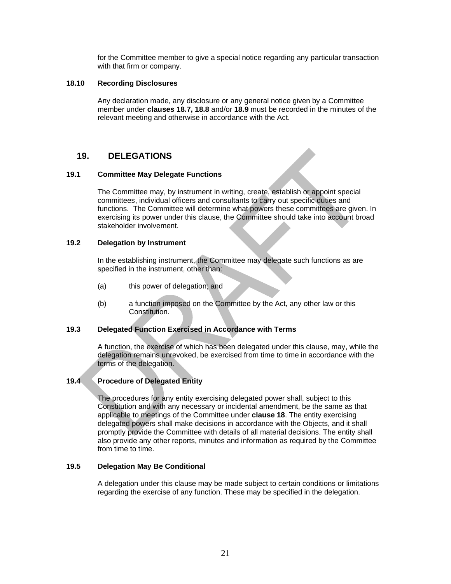for the Committee member to give a special notice regarding any particular transaction with that firm or company.

#### <span id="page-20-0"></span>**18.10 Recording Disclosures**

Any declaration made, any disclosure or any general notice given by a Committee member under **clauses 18.7, [18.8](#page-19-3)** and/or **[18.9](#page-19-4)** must be recorded in the minutes of the relevant meeting and otherwise in accordance with the Act.

#### <span id="page-20-1"></span>**19. DELEGATIONS**

#### <span id="page-20-2"></span>**19.1 Committee May Delegate Functions**

The Committee may, by instrument in writing, create, establish or appoint special committees, individual officers and consultants to carry out specific duties and functions. The Committee will determine what powers these committees are given. In exercising its power under this clause, the Committee should take into account broad stakeholder involvement.

#### <span id="page-20-3"></span>**19.2 Delegation by Instrument**

In the establishing instrument, the Committee may delegate such functions as are specified in the instrument, other than:

- (a) this power of delegation; and
- (b) a function imposed on the Committee by the Act, any other law or this Constitution.

#### <span id="page-20-4"></span>**19.3 Delegated Function Exercised in Accordance with Terms**

A function, the exercise of which has been delegated under this clause, may, while the delegation remains unrevoked, be exercised from time to time in accordance with the terms of the delegation.

#### <span id="page-20-5"></span>**19.4 Procedure of Delegated Entity**

The procedures for any entity exercising delegated power shall, subject to this Constitution and with any necessary or incidental amendment, be the same as that applicable to meetings of the Committee under **clause 18**. The entity exercising delegated powers shall make decisions in accordance with the Objects, and it shall promptly provide the Committee with details of all material decisions. The entity shall also provide any other reports, minutes and information as required by the Committee from time to time.

#### <span id="page-20-6"></span>**19.5 Delegation May Be Conditional**

A delegation under this clause may be made subject to certain conditions or limitations regarding the exercise of any function. These may be specified in the delegation.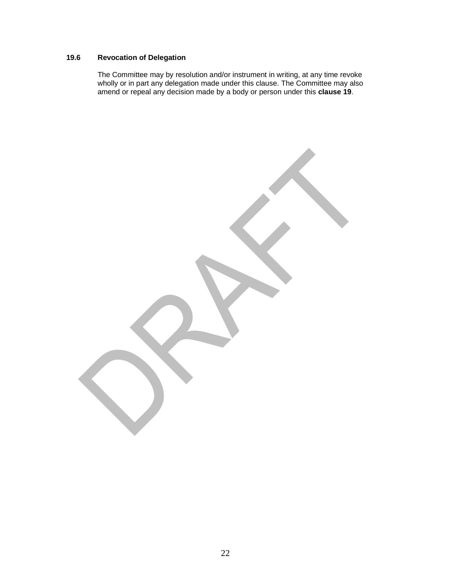# <span id="page-21-0"></span>**19.6 Revocation of Delegation**

The Committee may by resolution and/or instrument in writing, at any time revoke wholly or in part any delegation made under this clause. The Committee may also amend or repeal any decision made by a body or person under this **clause 19**.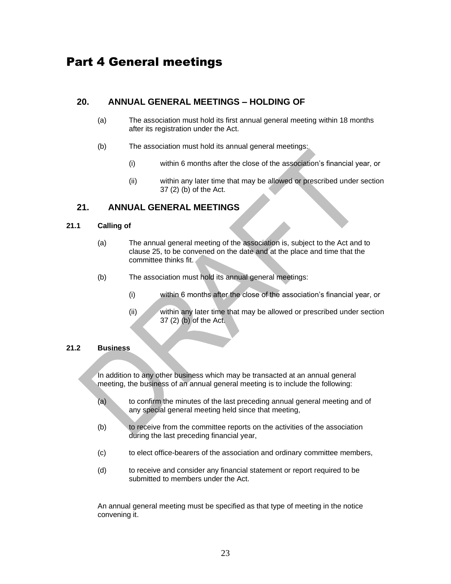# <span id="page-22-0"></span>Part 4 General meetings

# <span id="page-22-1"></span>**20. ANNUAL GENERAL MEETINGS – HOLDING OF**

- (a) The association must hold its first annual general meeting within 18 months after its registration under the Act.
- (b) The association must hold its annual general meetings:
	- (i) within 6 months after the close of the association's financial year, or
	- (ii) within any later time that may be allowed or prescribed under section 37 (2) (b) of the Act.

# <span id="page-22-2"></span>**21. ANNUAL GENERAL MEETINGS**

#### <span id="page-22-3"></span>**21.1 Calling of**

- (a) The annual general meeting of the association is, subject to the Act and to clause 25, to be convened on the date and at the place and time that the committee thinks fit.
- (b) The association must hold its annual general meetings:
	- (i) within 6 months after the close of the association's financial year, or
	- (ii) within any later time that may be allowed or prescribed under section 37 (2) (b) of the Act.

#### <span id="page-22-4"></span>**21.2 Business**

In addition to any other business which may be transacted at an annual general meeting, the business of an annual general meeting is to include the following:

- (a) to confirm the minutes of the last preceding annual general meeting and of any special general meeting held since that meeting,
- (b) to receive from the committee reports on the activities of the association during the last preceding financial year,
- (c) to elect office-bearers of the association and ordinary committee members,
- (d) to receive and consider any financial statement or report required to be submitted to members under the Act.

An annual general meeting must be specified as that type of meeting in the notice convening it.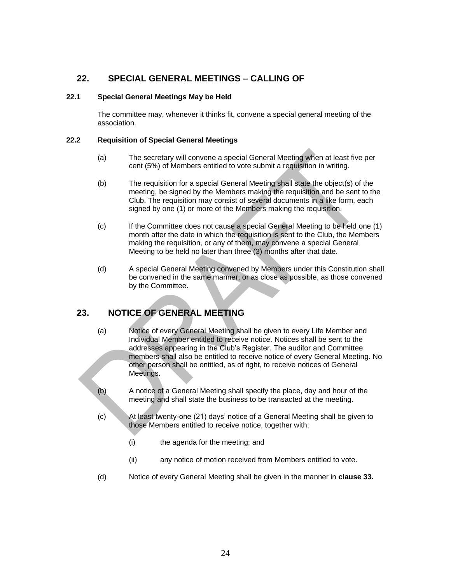# <span id="page-23-0"></span>**22. SPECIAL GENERAL MEETINGS – CALLING OF**

#### <span id="page-23-1"></span>**22.1 Special General Meetings May be Held**

The committee may, whenever it thinks fit, convene a special general meeting of the association.

#### <span id="page-23-2"></span>**22.2 Requisition of Special General Meetings**

- (a) The secretary will convene a special General Meeting when at least five per cent (5%) of Members entitled to vote submit a requisition in writing.
- (b) The requisition for a special General Meeting shall state the object(s) of the meeting, be signed by the Members making the requisition and be sent to the Club. The requisition may consist of several documents in a like form, each signed by one (1) or more of the Members making the requisition.
- (c) If the Committee does not cause a special General Meeting to be held one (1) month after the date in which the requisition is sent to the Club, the Members making the requisition, or any of them, may convene a special General Meeting to be held no later than three (3) months after that date.
- (d) A special General Meeting convened by Members under this Constitution shall be convened in the same manner, or as close as possible, as those convened by the Committee.

# <span id="page-23-3"></span>**23. NOTICE OF GENERAL MEETING**

- (a) Notice of every General Meeting shall be given to every Life Member and Individual Member entitled to receive notice. Notices shall be sent to the addresses appearing in the Club's Register. The auditor and Committee members shall also be entitled to receive notice of every General Meeting. No other person shall be entitled, as of right, to receive notices of General Meetings.
- (b) A notice of a General Meeting shall specify the place, day and hour of the meeting and shall state the business to be transacted at the meeting.
- (c) At least twenty-one (21) days' notice of a General Meeting shall be given to those Members entitled to receive notice, together with:
	- (i) the agenda for the meeting; and
	- (ii) any notice of motion received from Members entitled to vote.
- (d) Notice of every General Meeting shall be given in the manner in **clause 33.**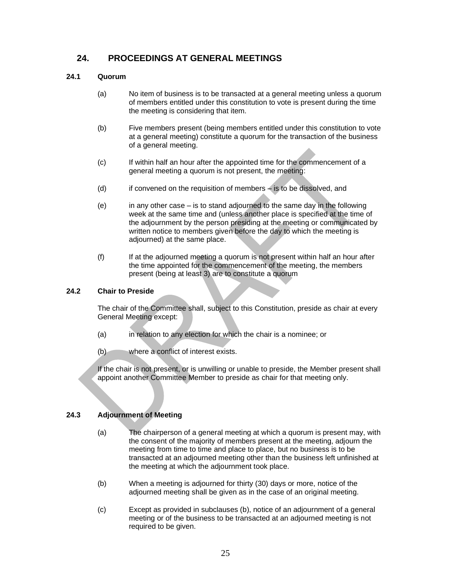# <span id="page-24-0"></span>**24. PROCEEDINGS AT GENERAL MEETINGS**

#### <span id="page-24-1"></span>**24.1 Quorum**

- (a) No item of business is to be transacted at a general meeting unless a quorum of members entitled under this constitution to vote is present during the time the meeting is considering that item.
- (b) Five members present (being members entitled under this constitution to vote at a general meeting) constitute a quorum for the transaction of the business of a general meeting.
- (c) If within half an hour after the appointed time for the commencement of a general meeting a quorum is not present, the meeting:
- (d) if convened on the requisition of members is to be dissolved, and
- (e) in any other case is to stand adjourned to the same day in the following week at the same time and (unless another place is specified at the time of the adjournment by the person presiding at the meeting or communicated by written notice to members given before the day to which the meeting is adjourned) at the same place.
- (f) If at the adjourned meeting a quorum is not present within half an hour after the time appointed for the commencement of the meeting, the members present (being at least 3) are to constitute a quorum

#### <span id="page-24-2"></span>**24.2 Chair to Preside**

The chair of the Committee shall, subject to this Constitution, preside as chair at every General Meeting except:

- (a) in relation to any election for which the chair is a nominee; or
- (b) where a conflict of interest exists.

If the chair is not present, or is unwilling or unable to preside, the Member present shall appoint another Committee Member to preside as chair for that meeting only.

#### <span id="page-24-3"></span>**24.3 Adjournment of Meeting**

- (a) The chairperson of a general meeting at which a quorum is present may, with the consent of the majority of members present at the meeting, adjourn the meeting from time to time and place to place, but no business is to be transacted at an adjourned meeting other than the business left unfinished at the meeting at which the adjournment took place.
- (b) When a meeting is adjourned for thirty (30) days or more, notice of the adjourned meeting shall be given as in the case of an original meeting.
- (c) Except as provided in subclauses (b), notice of an adjournment of a general meeting or of the business to be transacted at an adjourned meeting is not required to be given.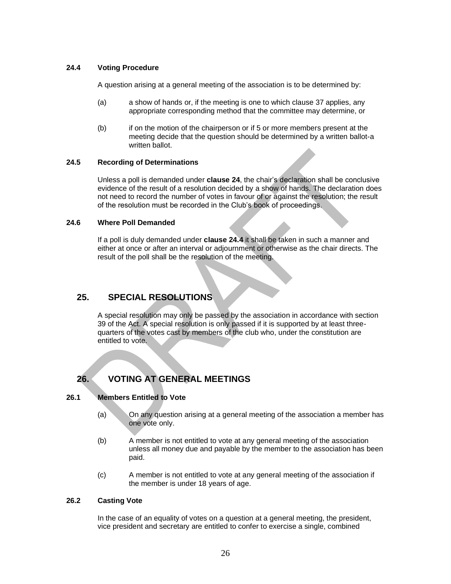#### <span id="page-25-0"></span>**24.4 Voting Procedure**

A question arising at a general meeting of the association is to be determined by:

- (a) a show of hands or, if the meeting is one to which clause 37 applies, any appropriate corresponding method that the committee may determine, or
- (b) if on the motion of the chairperson or if 5 or more members present at the meeting decide that the question should be determined by a written ballot-a written ballot.

#### <span id="page-25-1"></span>**24.5 Recording of Determinations**

Unless a poll is demanded under **clause 24**, the chair's declaration shall be conclusive evidence of the result of a resolution decided by a show of hands. The declaration does not need to record the number of votes in favour of or against the resolution; the result of the resolution must be recorded in the Club's book of proceedings.

#### <span id="page-25-2"></span>**24.6 Where Poll Demanded**

If a poll is duly demanded under **clause 24.4** it shall be taken in such a manner and either at once or after an interval or adjournment or otherwise as the chair directs. The result of the poll shall be the resolution of the meeting.

## <span id="page-25-3"></span>**25. SPECIAL RESOLUTIONS**

A special resolution may only be passed by the association in accordance with section 39 of the Act. A special resolution is only passed if it is supported by at least threequarters of the votes cast by members of the club who, under the constitution are entitled to vote.

# <span id="page-25-4"></span>**26. VOTING AT GENERAL MEETINGS**

#### <span id="page-25-5"></span>**26.1 Members Entitled to Vote**

- (a) On any question arising at a general meeting of the association a member has one vote only.
- (b) A member is not entitled to vote at any general meeting of the association unless all money due and payable by the member to the association has been paid.
- (c) A member is not entitled to vote at any general meeting of the association if the member is under 18 years of age.

#### <span id="page-25-6"></span>**26.2 Casting Vote**

In the case of an equality of votes on a question at a general meeting, the president, vice president and secretary are entitled to confer to exercise a single, combined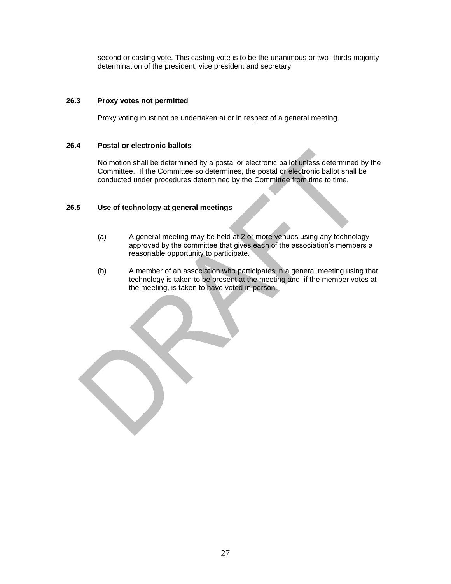second or casting vote. This casting vote is to be the unanimous or two- thirds majority determination of the president, vice president and secretary.

#### <span id="page-26-0"></span>**26.3 Proxy votes not permitted**

Proxy voting must not be undertaken at or in respect of a general meeting.

#### <span id="page-26-1"></span>**26.4 Postal or electronic ballots**

No motion shall be determined by a postal or electronic ballot unless determined by the Committee. If the Committee so determines, the postal or electronic ballot shall be conducted under procedures determined by the Committee from time to time.

#### <span id="page-26-2"></span>**26.5 Use of technology at general meetings**

- (a) A general meeting may be held at 2 or more venues using any technology approved by the committee that gives each of the association's members a reasonable opportunity to participate.
- (b) A member of an association who participates in a general meeting using that technology is taken to be present at the meeting and, if the member votes at the meeting, is taken to have voted in person.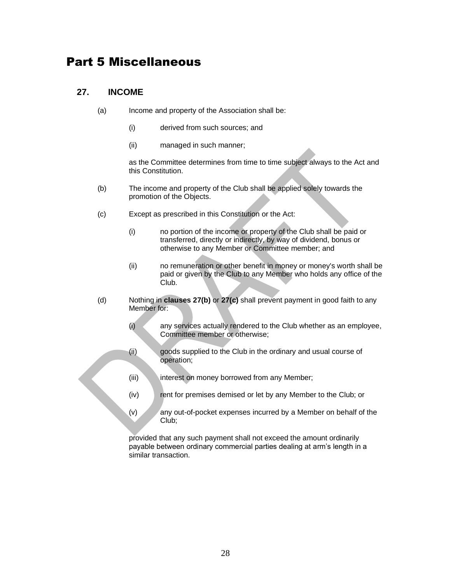# Part 5 Miscellaneous

# <span id="page-27-0"></span>**27. INCOME**

- (a) Income and property of the Association shall be:
	- (i) derived from such sources; and
	- (ii) managed in such manner;

as the Committee determines from time to time subject always to the Act and this Constitution.

- <span id="page-27-1"></span>(b) The income and property of the Club shall be applied solely towards the promotion of the Objects.
- <span id="page-27-2"></span>(c) Except as prescribed in this Constitution or the Act:
	- (i) no portion of the income or property of the Club shall be paid or transferred, directly or indirectly, by way of dividend, bonus or otherwise to any Member or Committee member; and
	- (ii) no remuneration or other benefit in money or money's worth shall be paid or given by the Club to any Member who holds any office of the Club.
- (d) Nothing in **clauses [27\(b\)](#page-27-1)** or **[27\(c\)](#page-27-2)** shall prevent payment in good faith to any Member for:
	- (i) any services actually rendered to the Club whether as an employee, Committee member or otherwise;
	- (ii) goods supplied to the Club in the ordinary and usual course of operation;
	- (iii) interest on money borrowed from any Member;
	- (iv) rent for premises demised or let by any Member to the Club; or
	- (v) any out-of-pocket expenses incurred by a Member on behalf of the Club;

provided that any such payment shall not exceed the amount ordinarily payable between ordinary commercial parties dealing at arm's length in a similar transaction.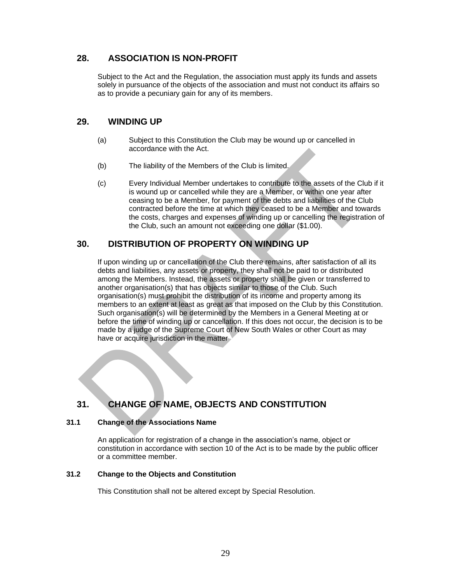# <span id="page-28-0"></span>**28. ASSOCIATION IS NON-PROFIT**

Subject to the Act and the Regulation, the association must apply its funds and assets solely in pursuance of the objects of the association and must not conduct its affairs so as to provide a pecuniary gain for any of its members.

# <span id="page-28-1"></span>**29. WINDING UP**

- (a) Subject to this Constitution the Club may be wound up or cancelled in accordance with the Act.
- (b) The liability of the Members of the Club is limited.
- (c) Every Individual Member undertakes to contribute to the assets of the Club if it is wound up or cancelled while they are a Member, or within one year after ceasing to be a Member, for payment of the debts and liabilities of the Club contracted before the time at which they ceased to be a Member and towards the costs, charges and expenses of winding up or cancelling the registration of the Club, such an amount not exceeding one dollar (\$1.00).

# <span id="page-28-2"></span>**30. DISTRIBUTION OF PROPERTY ON WINDING UP**

If upon winding up or cancellation of the Club there remains, after satisfaction of all its debts and liabilities, any assets or property, they shall not be paid to or distributed among the Members. Instead, the assets or property shall be given or transferred to another organisation(s) that has objects similar to those of the Club. Such organisation(s) must prohibit the distribution of its income and property among its members to an extent at least as great as that imposed on the Club by this Constitution. Such organisation(s) will be determined by the Members in a General Meeting at or before the time of winding up or cancellation. If this does not occur, the decision is to be made by a judge of the Supreme Court of New South Wales or other Court as may have or acquire jurisdiction in the matter

# <span id="page-28-3"></span>**31. CHANGE OF NAME, OBJECTS AND CONSTITUTION**

#### <span id="page-28-4"></span>**31.1 Change of the Associations Name**

An application for registration of a change in the association's name, object or constitution in accordance with section 10 of the Act is to be made by the public officer or a committee member.

#### <span id="page-28-5"></span>**31.2 Change to the Objects and Constitution**

This Constitution shall not be altered except by Special Resolution.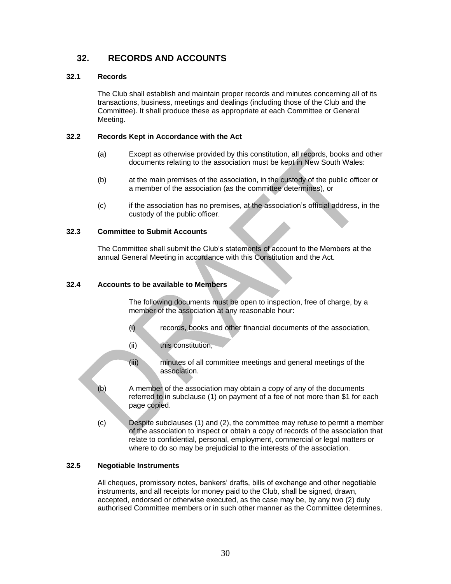# <span id="page-29-0"></span>**32. RECORDS AND ACCOUNTS**

#### <span id="page-29-1"></span>**32.1 Records**

The Club shall establish and maintain proper records and minutes concerning all of its transactions, business, meetings and dealings (including those of the Club and the Committee). It shall produce these as appropriate at each Committee or General Meeting.

#### <span id="page-29-2"></span>**32.2 Records Kept in Accordance with the Act**

- (a) Except as otherwise provided by this constitution, all records, books and other documents relating to the association must be kept in New South Wales:
- (b) at the main premises of the association, in the custody of the public officer or a member of the association (as the committee determines), or
- (c) if the association has no premises, at the association's official address, in the custody of the public officer.

## <span id="page-29-3"></span>**32.3 Committee to Submit Accounts**

The Committee shall submit the Club's statements of account to the Members at the annual General Meeting in accordance with this Constitution and the Act.

#### <span id="page-29-4"></span>**32.4 Accounts to be available to Members**

The following documents must be open to inspection, free of charge, by a member of the association at any reasonable hour:

- (i) records, books and other financial documents of the association,
- (ii) this constitution,
- (iii) minutes of all committee meetings and general meetings of the association.
- (b) A member of the association may obtain a copy of any of the documents referred to in subclause (1) on payment of a fee of not more than \$1 for each page copied.
- (c) Despite subclauses (1) and (2), the committee may refuse to permit a member of the association to inspect or obtain a copy of records of the association that relate to confidential, personal, employment, commercial or legal matters or where to do so may be prejudicial to the interests of the association.

#### <span id="page-29-5"></span>**32.5 Negotiable Instruments**

All cheques, promissory notes, bankers' drafts, bills of exchange and other negotiable instruments, and all receipts for money paid to the Club, shall be signed, drawn, accepted, endorsed or otherwise executed, as the case may be, by any two (2) duly authorised Committee members or in such other manner as the Committee determines.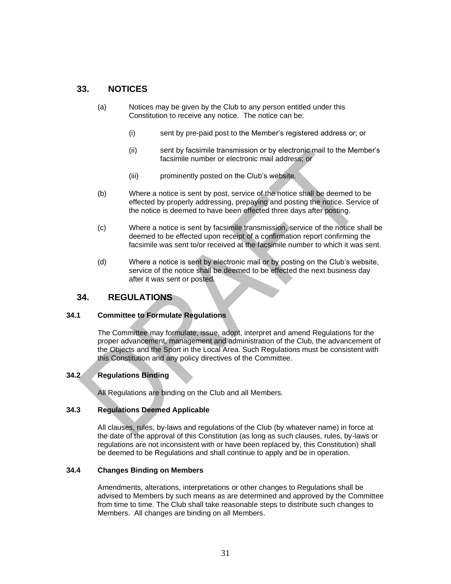# <span id="page-30-0"></span>**33. NOTICES**

- (a) Notices may be given by the Club to any person entitled under this Constitution to receive any notice. The notice can be:
	- (i) sent by pre-paid post to the Member's registered address or; or
	- (ii) sent by facsimile transmission or by electronic mail to the Member's facsimile number or electronic mail address; or
	- (iii) prominently posted on the Club's website.
- (b) Where a notice is sent by post, service of the notice shall be deemed to be effected by properly addressing, prepaying and posting the notice. Service of the notice is deemed to have been effected three days after posting.
- (c) Where a notice is sent by facsimile transmission, service of the notice shall be deemed to be effected upon receipt of a confirmation report confirming the facsimile was sent to/or received at the facsimile number to which it was sent.
- (d) Where a notice is sent by electronic mail or by posting on the Club's website, service of the notice shall be deemed to be effected the next business day after it was sent or posted.

# <span id="page-30-1"></span>**34. REGULATIONS**

#### <span id="page-30-2"></span>**34.1 Committee to Formulate Regulations**

The Committee may formulate, issue, adopt, interpret and amend Regulations for the proper advancement, management and administration of the Club, the advancement of the Objects and the Sport in the Local Area. Such Regulations must be consistent with this Constitution and any policy directives of the Committee.

#### <span id="page-30-3"></span>**34.2 Regulations Binding**

All Regulations are binding on the Club and all Members.

#### <span id="page-30-4"></span>**34.3 Regulations Deemed Applicable**

All clauses, rules, by-laws and regulations of the Club (by whatever name) in force at the date of the approval of this Constitution (as long as such clauses, rules, by-laws or regulations are not inconsistent with or have been replaced by, this Constitution) shall be deemed to be Regulations and shall continue to apply and be in operation.

#### <span id="page-30-5"></span>**34.4 Changes Binding on Members**

Amendments, alterations, interpretations or other changes to Regulations shall be advised to Members by such means as are determined and approved by the Committee from time to time. The Club shall take reasonable steps to distribute such changes to Members. All changes are binding on all Members.